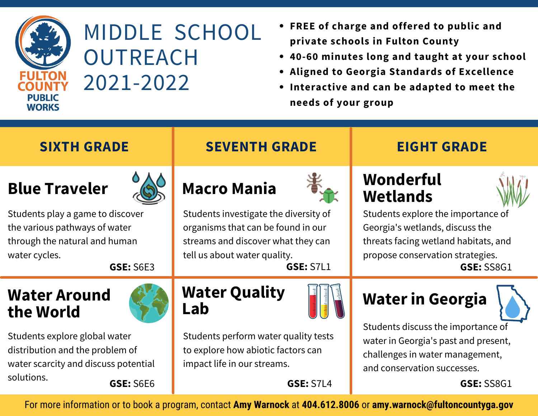

## MIDDLE SCHOOL **OUTREACH** 2021-2022

- **FREE of charge and offered to public and private schools in Fulton County**
- **40-60 minutes long and taught at your school**
- **Aligned to Georgia Standards of Excellence**
- **Interactive and can be adapted to meet the needs of your group**

| <b>SIXTH GRADE</b>                                                                                                                                              | <b>SEVENTH GRADE</b>                                                                                                                                                                        | <b>EIGHT GRADE</b>                                                                                                                                                                                            |
|-----------------------------------------------------------------------------------------------------------------------------------------------------------------|---------------------------------------------------------------------------------------------------------------------------------------------------------------------------------------------|---------------------------------------------------------------------------------------------------------------------------------------------------------------------------------------------------------------|
| <b>Blue Traveler</b><br>Students play a game to discover<br>the various pathways of water<br>through the natural and human<br>water cycles.<br><b>GSE: S6E3</b> | <b>Macro Mania</b><br>Students investigate the diversity of<br>organisms that can be found in our<br>streams and discover what they can<br>tell us about water quality.<br><b>GSE: S7L1</b> | <b>Wonderful</b><br><b>Wetlands</b><br>Students explore the importance of<br>Georgia's wetlands, discuss the<br>threats facing wetland habitats, and<br>propose conservation strategies.<br><b>GSE: SS8G1</b> |
| <b>Water Around</b><br>the World                                                                                                                                | <b>Water Quality</b><br>Lab                                                                                                                                                                 | <b>Water in Georgia</b><br>Students discuss the importance of<br>water in Georgia's past and present,<br>challenges in water management,<br>and conservation successes.                                       |
| Students explore global water<br>distribution and the problem of<br>water scarcity and discuss potential                                                        | Students perform water quality tests<br>to explore how abiotic factors can<br>impact life in our streams.                                                                                   |                                                                                                                                                                                                               |
| solutions.<br><b>GSE: S6E6</b>                                                                                                                                  | <b>GSE: S7L4</b>                                                                                                                                                                            | <b>GSE: SS8G1</b>                                                                                                                                                                                             |

For more information or to book a program, contact **Amy Warnock** at **404.612.8006** or **amy.warnock@fultoncountyga.gov**